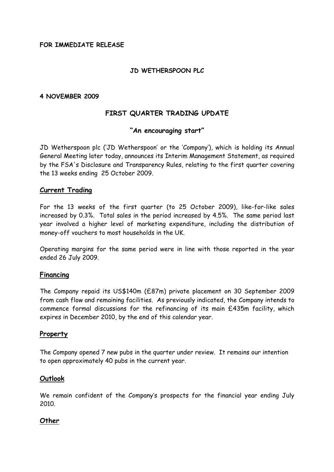## **FOR IMMEDIATE RELEASE**

## **JD WETHERSPOON PLC**

#### **4 NOVEMBER 2009**

# **FIRST QUARTER TRADING UPDATE**

#### **"An encouraging start"**

[JD Wetherspoon plc](javascript:void(0);) ('[JD Wetherspoon'](javascript:void(0);) or the 'Company'), which is holding its Annual General Meeting later today, announces its Interim Management Statement, as required by the FSA's Disclosure and Transparency Rules, relating to the first quarter covering the 13 weeks ending 25 October 2009.

#### **Current Trading**

For the 13 weeks of the first quarter (to 25 October 2009), like-for-like sales increased by 0.3%. Total sales in the period increased by 4.5%. The same period last year involved a higher level of marketing expenditure, including the distribution of money-off vouchers to most households in the UK.

Operating margins for the same period were in line with those reported in the year ended 26 July 2009.

## **Financing**

The Company repaid its US\$140m (£87m) private placement on 30 September 2009 from cash flow and remaining facilities. As previously indicated, the Company intends to commence formal discussions for the refinancing of its main £435m facility, which expires in December 2010, by the end of this calendar year.

#### **Property**

The Company opened 7 new pubs in the quarter under review. It remains our intention to open approximately 40 pubs in the current year.

#### **Outlook**

We remain confident of the Company's prospects for the financial year ending July 2010.

## **Other**